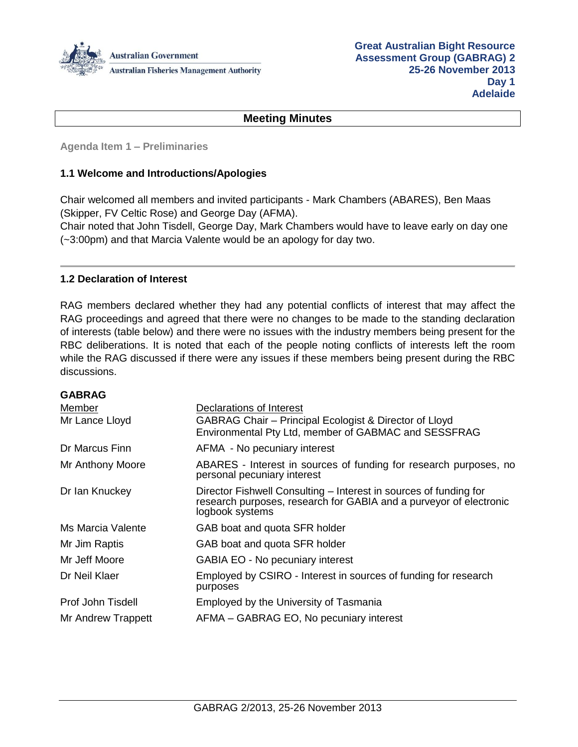

#### **Meeting Minutes**

**Agenda Item 1 – Preliminaries**

#### **1.1 Welcome and Introductions/Apologies**

Chair welcomed all members and invited participants - Mark Chambers (ABARES), Ben Maas (Skipper, FV Celtic Rose) and George Day (AFMA).

Chair noted that John Tisdell, George Day, Mark Chambers would have to leave early on day one (~3:00pm) and that Marcia Valente would be an apology for day two.

#### **1.2 Declaration of Interest**

RAG members declared whether they had any potential conflicts of interest that may affect the RAG proceedings and agreed that there were no changes to be made to the standing declaration of interests (table below) and there were no issues with the industry members being present for the RBC deliberations. It is noted that each of the people noting conflicts of interests left the room while the RAG discussed if there were any issues if these members being present during the RBC discussions.

| <b>GABRAG</b>      |                                                                                                                                                            |
|--------------------|------------------------------------------------------------------------------------------------------------------------------------------------------------|
| Member             | Declarations of Interest                                                                                                                                   |
| Mr Lance Lloyd     | GABRAG Chair – Principal Ecologist & Director of Lloyd<br>Environmental Pty Ltd, member of GABMAC and SESSFRAG                                             |
| Dr Marcus Finn     | AFMA - No pecuniary interest                                                                                                                               |
| Mr Anthony Moore   | ABARES - Interest in sources of funding for research purposes, no<br>personal pecuniary interest                                                           |
| Dr Ian Knuckey     | Director Fishwell Consulting – Interest in sources of funding for<br>research purposes, research for GABIA and a purveyor of electronic<br>logbook systems |
| Ms Marcia Valente  | GAB boat and quota SFR holder                                                                                                                              |
| Mr Jim Raptis      | GAB boat and quota SFR holder                                                                                                                              |
| Mr Jeff Moore      | GABIA EO - No pecuniary interest                                                                                                                           |
| Dr Neil Klaer      | Employed by CSIRO - Interest in sources of funding for research<br>purposes                                                                                |
| Prof John Tisdell  | Employed by the University of Tasmania                                                                                                                     |
| Mr Andrew Trappett | AFMA – GABRAG EO, No pecuniary interest                                                                                                                    |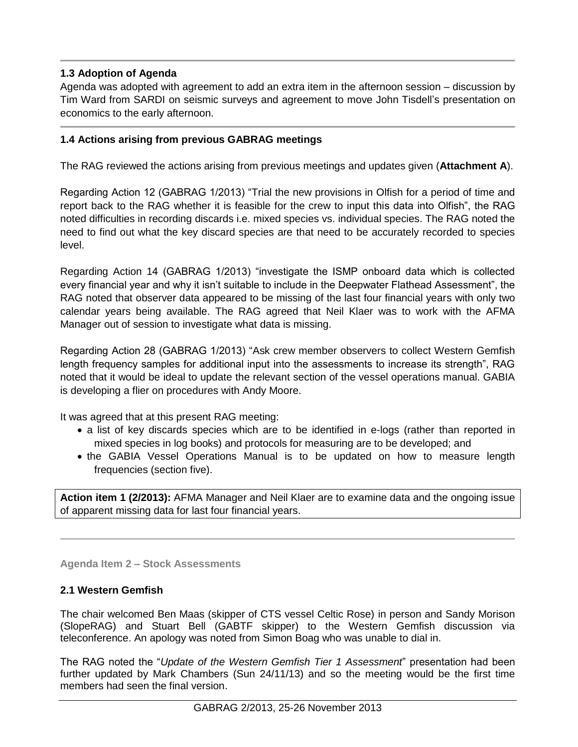# **1.3 Adoption of Agenda**

Agenda was adopted with agreement to add an extra item in the afternoon session – discussion by Tim Ward from SARDI on seismic surveys and agreement to move John Tisdell's presentation on economics to the early afternoon.

# **1.4 Actions arising from previous GABRAG meetings**

The RAG reviewed the actions arising from previous meetings and updates given (**Attachment A**).

Regarding Action 12 (GABRAG 1/2013) "Trial the new provisions in Olfish for a period of time and report back to the RAG whether it is feasible for the crew to input this data into Olfish", the RAG noted difficulties in recording discards i.e. mixed species vs. individual species. The RAG noted the need to find out what the key discard species are that need to be accurately recorded to species level.

Regarding Action 14 (GABRAG 1/2013) "investigate the ISMP onboard data which is collected every financial year and why it isn't suitable to include in the Deepwater Flathead Assessment", the RAG noted that observer data appeared to be missing of the last four financial years with only two calendar years being available. The RAG agreed that Neil Klaer was to work with the AFMA Manager out of session to investigate what data is missing.

Regarding Action 28 (GABRAG 1/2013) "Ask crew member observers to collect Western Gemfish length frequency samples for additional input into the assessments to increase its strength", RAG noted that it would be ideal to update the relevant section of the vessel operations manual. GABIA is developing a flier on procedures with Andy Moore.

It was agreed that at this present RAG meeting:

- a list of key discards species which are to be identified in e-logs (rather than reported in mixed species in log books) and protocols for measuring are to be developed; and
- the GABIA Vessel Operations Manual is to be updated on how to measure length frequencies (section five).

**Action item 1 (2/2013):** AFMA Manager and Neil Klaer are to examine data and the ongoing issue of apparent missing data for last four financial years.

**Agenda Item 2 – Stock Assessments** 

## **2.1 Western Gemfish**

The chair welcomed Ben Maas (skipper of CTS vessel Celtic Rose) in person and Sandy Morison (SlopeRAG) and Stuart Bell (GABTF skipper) to the Western Gemfish discussion via teleconference. An apology was noted from Simon Boag who was unable to dial in.

The RAG noted the "*Update of the Western Gemfish Tier 1 Assessment*" presentation had been further updated by Mark Chambers (Sun 24/11/13) and so the meeting would be the first time members had seen the final version.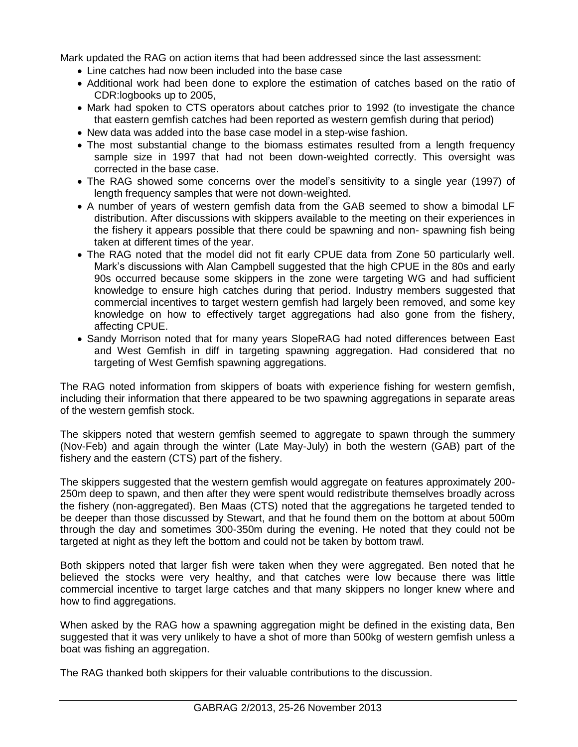Mark updated the RAG on action items that had been addressed since the last assessment:

- Line catches had now been included into the base case
- Additional work had been done to explore the estimation of catches based on the ratio of CDR:logbooks up to 2005,
- Mark had spoken to CTS operators about catches prior to 1992 (to investigate the chance that eastern gemfish catches had been reported as western gemfish during that period)
- New data was added into the base case model in a step-wise fashion.
- The most substantial change to the biomass estimates resulted from a length frequency sample size in 1997 that had not been down-weighted correctly. This oversight was corrected in the base case.
- The RAG showed some concerns over the model's sensitivity to a single year (1997) of length frequency samples that were not down-weighted.
- A number of years of western gemfish data from the GAB seemed to show a bimodal LF distribution. After discussions with skippers available to the meeting on their experiences in the fishery it appears possible that there could be spawning and non- spawning fish being taken at different times of the year.
- The RAG noted that the model did not fit early CPUE data from Zone 50 particularly well. Mark's discussions with Alan Campbell suggested that the high CPUE in the 80s and early 90s occurred because some skippers in the zone were targeting WG and had sufficient knowledge to ensure high catches during that period. Industry members suggested that commercial incentives to target western gemfish had largely been removed, and some key knowledge on how to effectively target aggregations had also gone from the fishery, affecting CPUE.
- Sandy Morrison noted that for many years SlopeRAG had noted differences between East and West Gemfish in diff in targeting spawning aggregation. Had considered that no targeting of West Gemfish spawning aggregations.

The RAG noted information from skippers of boats with experience fishing for western gemfish, including their information that there appeared to be two spawning aggregations in separate areas of the western gemfish stock.

The skippers noted that western gemfish seemed to aggregate to spawn through the summery (Nov-Feb) and again through the winter (Late May-July) in both the western (GAB) part of the fishery and the eastern (CTS) part of the fishery.

The skippers suggested that the western gemfish would aggregate on features approximately 200- 250m deep to spawn, and then after they were spent would redistribute themselves broadly across the fishery (non-aggregated). Ben Maas (CTS) noted that the aggregations he targeted tended to be deeper than those discussed by Stewart, and that he found them on the bottom at about 500m through the day and sometimes 300-350m during the evening. He noted that they could not be targeted at night as they left the bottom and could not be taken by bottom trawl.

Both skippers noted that larger fish were taken when they were aggregated. Ben noted that he believed the stocks were very healthy, and that catches were low because there was little commercial incentive to target large catches and that many skippers no longer knew where and how to find aggregations.

When asked by the RAG how a spawning aggregation might be defined in the existing data, Ben suggested that it was very unlikely to have a shot of more than 500kg of western gemfish unless a boat was fishing an aggregation.

The RAG thanked both skippers for their valuable contributions to the discussion.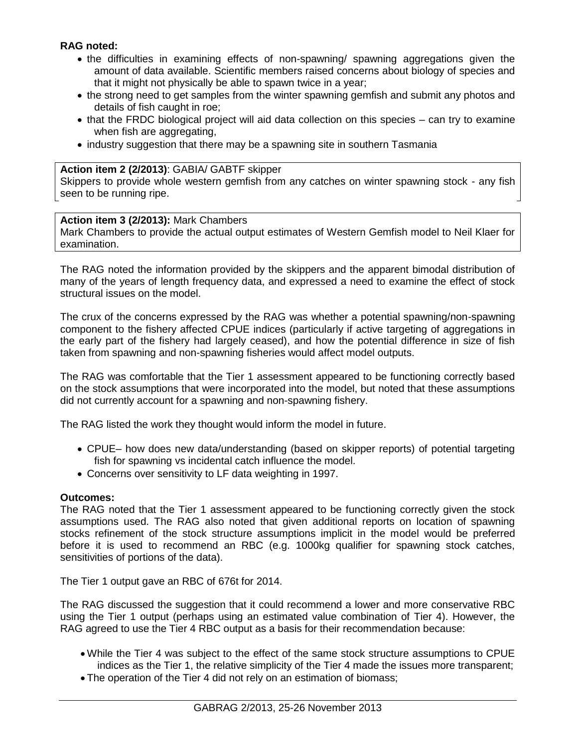## **RAG noted:**

- the difficulties in examining effects of non-spawning/ spawning aggregations given the amount of data available. Scientific members raised concerns about biology of species and that it might not physically be able to spawn twice in a year;
- the strong need to get samples from the winter spawning gemfish and submit any photos and details of fish caught in roe;
- that the FRDC biological project will aid data collection on this species can try to examine when fish are aggregating,
- industry suggestion that there may be a spawning site in southern Tasmania

## **Action item 2 (2/2013)**: GABIA/ GABTF skipper

Skippers to provide whole western gemfish from any catches on winter spawning stock - any fish seen to be running ripe.

## **Action item 3 (2/2013):** Mark Chambers

Mark Chambers to provide the actual output estimates of Western Gemfish model to Neil Klaer for examination.

The RAG noted the information provided by the skippers and the apparent bimodal distribution of many of the years of length frequency data, and expressed a need to examine the effect of stock structural issues on the model.

The crux of the concerns expressed by the RAG was whether a potential spawning/non-spawning component to the fishery affected CPUE indices (particularly if active targeting of aggregations in the early part of the fishery had largely ceased), and how the potential difference in size of fish taken from spawning and non-spawning fisheries would affect model outputs.

The RAG was comfortable that the Tier 1 assessment appeared to be functioning correctly based on the stock assumptions that were incorporated into the model, but noted that these assumptions did not currently account for a spawning and non-spawning fishery.

The RAG listed the work they thought would inform the model in future.

- CPUE– how does new data/understanding (based on skipper reports) of potential targeting fish for spawning vs incidental catch influence the model.
- Concerns over sensitivity to LF data weighting in 1997.

## **Outcomes:**

The RAG noted that the Tier 1 assessment appeared to be functioning correctly given the stock assumptions used. The RAG also noted that given additional reports on location of spawning stocks refinement of the stock structure assumptions implicit in the model would be preferred before it is used to recommend an RBC (e.g. 1000kg qualifier for spawning stock catches, sensitivities of portions of the data).

The Tier 1 output gave an RBC of 676t for 2014.

The RAG discussed the suggestion that it could recommend a lower and more conservative RBC using the Tier 1 output (perhaps using an estimated value combination of Tier 4). However, the RAG agreed to use the Tier 4 RBC output as a basis for their recommendation because:

- While the Tier 4 was subject to the effect of the same stock structure assumptions to CPUE indices as the Tier 1, the relative simplicity of the Tier 4 made the issues more transparent;
- The operation of the Tier 4 did not rely on an estimation of biomass;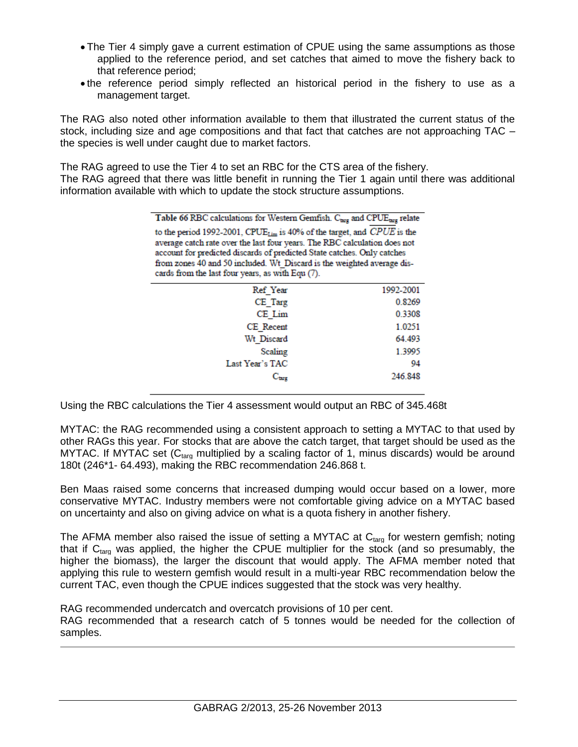- The Tier 4 simply gave a current estimation of CPUE using the same assumptions as those applied to the reference period, and set catches that aimed to move the fishery back to that reference period;
- the reference period simply reflected an historical period in the fishery to use as a management target.

The RAG also noted other information available to them that illustrated the current status of the stock, including size and age compositions and that fact that catches are not approaching TAC – the species is well under caught due to market factors.

The RAG agreed to use the Tier 4 to set an RBC for the CTS area of the fishery.

The RAG agreed that there was little benefit in running the Tier 1 again until there was additional information available with which to update the stock structure assumptions.

| Table 66 RBC calculations for Western Gemfish. C <sub>targ</sub> and CPUE <sub>targ</sub> relate |
|--------------------------------------------------------------------------------------------------|
| to the period 1992-2001, CPUE <sub>Lim</sub> is 40% of the target, and CPUE is the               |
| average catch rate over the last four years. The RBC calculation does not                        |
| account for predicted discards of predicted State catches. Only catches                          |
| from zones 40 and 50 included. Wt Discard is the weighted average dis-                           |
| cards from the last four years, as with Equ (7).                                                 |
|                                                                                                  |

| Ref Year                    | 1992-2001 |
|-----------------------------|-----------|
| CE Targ                     | 0.8269    |
| CE Lim                      | 0.3308    |
| CE Recent                   | 1.0251    |
| Wt Discard                  | 64.493    |
| Scaling                     | 1.3995    |
| Last Year's TAC             | 94        |
| $\mathrm{C}_{\texttt{brz}}$ | 246,848   |
|                             |           |

Using the RBC calculations the Tier 4 assessment would output an RBC of 345.468t

MYTAC: the RAG recommended using a consistent approach to setting a MYTAC to that used by other RAGs this year. For stocks that are above the catch target, that target should be used as the MYTAC. If MYTAC set  $(C_{\text{tare}}$  multiplied by a scaling factor of 1, minus discards) would be around 180t (246\*1- 64.493), making the RBC recommendation 246.868 t.

Ben Maas raised some concerns that increased dumping would occur based on a lower, more conservative MYTAC. Industry members were not comfortable giving advice on a MYTAC based on uncertainty and also on giving advice on what is a quota fishery in another fishery.

The AFMA member also raised the issue of setting a MYTAC at  $C_{\text{targ}}$  for western gemfish; noting that if  $C_{\text{targ}}$  was applied, the higher the CPUE multiplier for the stock (and so presumably, the higher the biomass), the larger the discount that would apply. The AFMA member noted that applying this rule to western gemfish would result in a multi-year RBC recommendation below the current TAC, even though the CPUE indices suggested that the stock was very healthy.

RAG recommended undercatch and overcatch provisions of 10 per cent.

RAG recommended that a research catch of 5 tonnes would be needed for the collection of samples.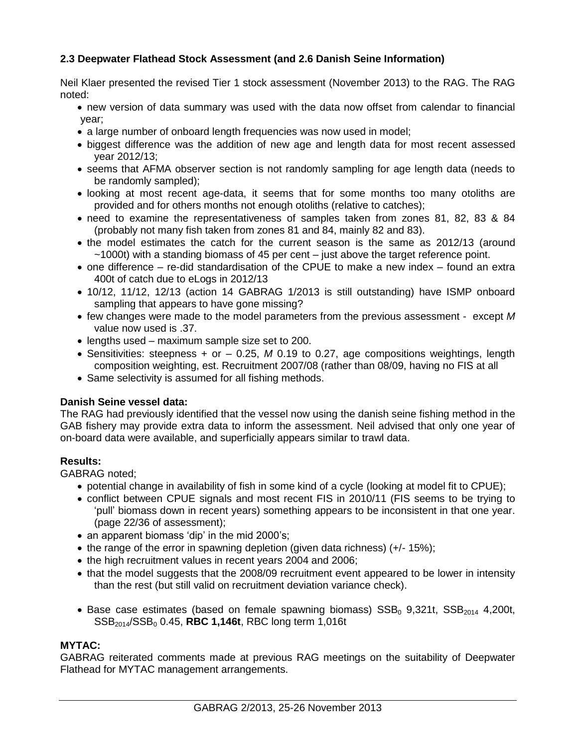# **2.3 Deepwater Flathead Stock Assessment (and 2.6 Danish Seine Information)**

Neil Klaer presented the revised Tier 1 stock assessment (November 2013) to the RAG. The RAG noted:

- new version of data summary was used with the data now offset from calendar to financial year;
- a large number of onboard length frequencies was now used in model;
- biggest difference was the addition of new age and length data for most recent assessed year 2012/13;
- seems that AFMA observer section is not randomly sampling for age length data (needs to be randomly sampled);
- looking at most recent age-data, it seems that for some months too many otoliths are provided and for others months not enough otoliths (relative to catches);
- need to examine the representativeness of samples taken from zones 81, 82, 83 & 84 (probably not many fish taken from zones 81 and 84, mainly 82 and 83).
- the model estimates the catch for the current season is the same as 2012/13 (around ~1000t) with a standing biomass of 45 per cent – just above the target reference point.
- one difference re-did standardisation of the CPUE to make a new index found an extra 400t of catch due to eLogs in 2012/13
- 10/12, 11/12, 12/13 (action 14 GABRAG 1/2013 is still outstanding) have ISMP onboard sampling that appears to have gone missing?
- few changes were made to the model parameters from the previous assessment except *M* value now used is .37.
- lengths used maximum sample size set to 200.
- Sensitivities: steepness + or 0.25, *M* 0.19 to 0.27, age compositions weightings, length composition weighting, est. Recruitment 2007/08 (rather than 08/09, having no FIS at all
- Same selectivity is assumed for all fishing methods.

## **Danish Seine vessel data:**

The RAG had previously identified that the vessel now using the danish seine fishing method in the GAB fishery may provide extra data to inform the assessment. Neil advised that only one year of on-board data were available, and superficially appears similar to trawl data.

## **Results:**

GABRAG noted;

- potential change in availability of fish in some kind of a cycle (looking at model fit to CPUE);
- conflict between CPUE signals and most recent FIS in 2010/11 (FIS seems to be trying to 'pull' biomass down in recent years) something appears to be inconsistent in that one year. (page 22/36 of assessment);
- an apparent biomass 'dip' in the mid 2000's;
- the range of the error in spawning depletion (given data richness) (+/- 15%);
- the high recruitment values in recent years 2004 and 2006;
- that the model suggests that the 2008/09 recruitment event appeared to be lower in intensity than the rest (but still valid on recruitment deviation variance check).
- Base case estimates (based on female spawning biomass)  $SSB_0$  9,321t,  $SSB_{2014}$  4,200t, SSB2014/SSB<sup>0</sup> 0.45, **RBC 1,146t**, RBC long term 1,016t

# **MYTAC:**

GABRAG reiterated comments made at previous RAG meetings on the suitability of Deepwater Flathead for MYTAC management arrangements.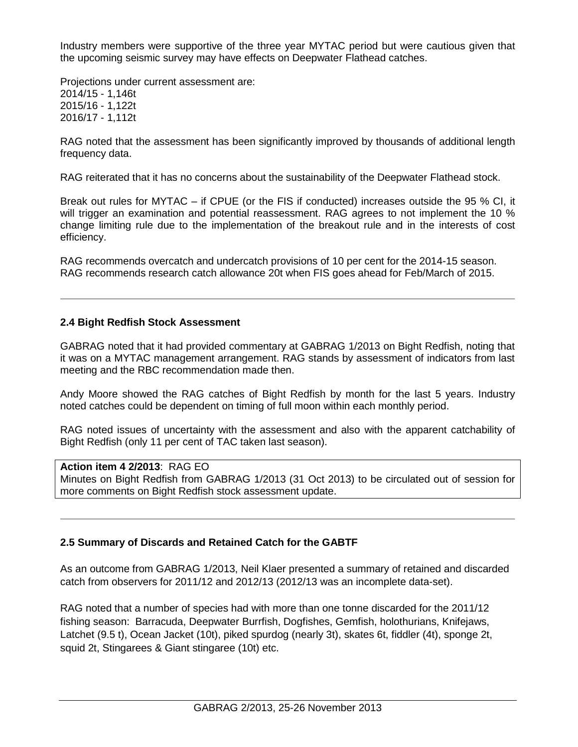Industry members were supportive of the three year MYTAC period but were cautious given that the upcoming seismic survey may have effects on Deepwater Flathead catches.

Projections under current assessment are: 2014/15 - 1,146t 2015/16 - 1,122t 2016/17 - 1,112t

RAG noted that the assessment has been significantly improved by thousands of additional length frequency data.

RAG reiterated that it has no concerns about the sustainability of the Deepwater Flathead stock.

Break out rules for MYTAC – if CPUE (or the FIS if conducted) increases outside the 95 % CI, it will trigger an examination and potential reassessment. RAG agrees to not implement the 10 % change limiting rule due to the implementation of the breakout rule and in the interests of cost efficiency.

RAG recommends overcatch and undercatch provisions of 10 per cent for the 2014-15 season. RAG recommends research catch allowance 20t when FIS goes ahead for Feb/March of 2015.

## **2.4 Bight Redfish Stock Assessment**

GABRAG noted that it had provided commentary at GABRAG 1/2013 on Bight Redfish, noting that it was on a MYTAC management arrangement. RAG stands by assessment of indicators from last meeting and the RBC recommendation made then.

Andy Moore showed the RAG catches of Bight Redfish by month for the last 5 years. Industry noted catches could be dependent on timing of full moon within each monthly period.

RAG noted issues of uncertainty with the assessment and also with the apparent catchability of Bight Redfish (only 11 per cent of TAC taken last season).

## **Action item 4 2/2013**: RAG EO

Minutes on Bight Redfish from GABRAG 1/2013 (31 Oct 2013) to be circulated out of session for more comments on Bight Redfish stock assessment update.

## **2.5 Summary of Discards and Retained Catch for the GABTF**

As an outcome from GABRAG 1/2013, Neil Klaer presented a summary of retained and discarded catch from observers for 2011/12 and 2012/13 (2012/13 was an incomplete data-set).

RAG noted that a number of species had with more than one tonne discarded for the 2011/12 fishing season: Barracuda, Deepwater Burrfish, Dogfishes, Gemfish, holothurians, Knifejaws, Latchet (9.5 t), Ocean Jacket (10t), piked spurdog (nearly 3t), skates 6t, fiddler (4t), sponge 2t, squid 2t, Stingarees & Giant stingaree (10t) etc.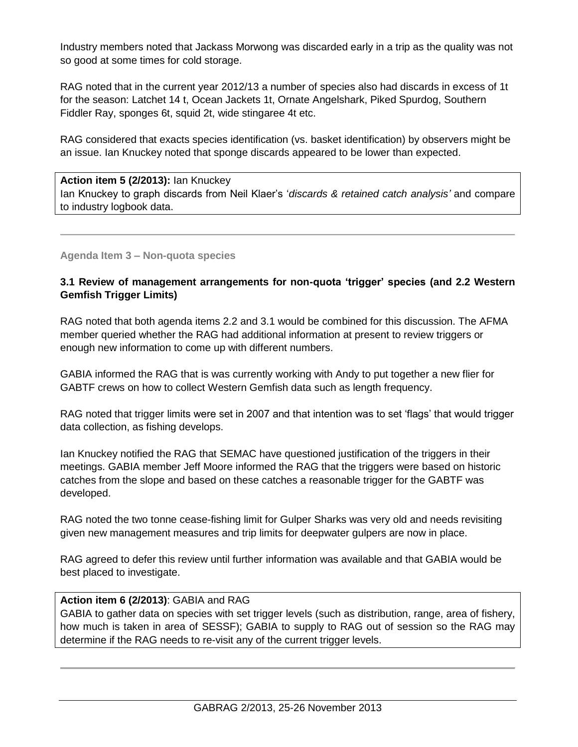Industry members noted that Jackass Morwong was discarded early in a trip as the quality was not so good at some times for cold storage.

RAG noted that in the current year 2012/13 a number of species also had discards in excess of 1t for the season: Latchet 14 t, Ocean Jackets 1t, Ornate Angelshark, Piked Spurdog, Southern Fiddler Ray, sponges 6t, squid 2t, wide stingaree 4t etc.

RAG considered that exacts species identification (vs. basket identification) by observers might be an issue. Ian Knuckey noted that sponge discards appeared to be lower than expected.

#### **Action item 5 (2/2013):** Ian Knuckey

Ian Knuckey to graph discards from Neil Klaer's '*discards & retained catch analysis'* and compare to industry logbook data.

## **Agenda Item 3 – Non-quota species**

## **3.1 Review of management arrangements for non-quota 'trigger' species (and 2.2 Western Gemfish Trigger Limits)**

RAG noted that both agenda items 2.2 and 3.1 would be combined for this discussion. The AFMA member queried whether the RAG had additional information at present to review triggers or enough new information to come up with different numbers.

GABIA informed the RAG that is was currently working with Andy to put together a new flier for GABTF crews on how to collect Western Gemfish data such as length frequency.

RAG noted that trigger limits were set in 2007 and that intention was to set 'flags' that would trigger data collection, as fishing develops.

Ian Knuckey notified the RAG that SEMAC have questioned justification of the triggers in their meetings. GABIA member Jeff Moore informed the RAG that the triggers were based on historic catches from the slope and based on these catches a reasonable trigger for the GABTF was developed.

RAG noted the two tonne cease-fishing limit for Gulper Sharks was very old and needs revisiting given new management measures and trip limits for deepwater gulpers are now in place.

RAG agreed to defer this review until further information was available and that GABIA would be best placed to investigate.

## **Action item 6 (2/2013)**: GABIA and RAG

GABIA to gather data on species with set trigger levels (such as distribution, range, area of fishery, how much is taken in area of SESSF); GABIA to supply to RAG out of session so the RAG may determine if the RAG needs to re-visit any of the current trigger levels.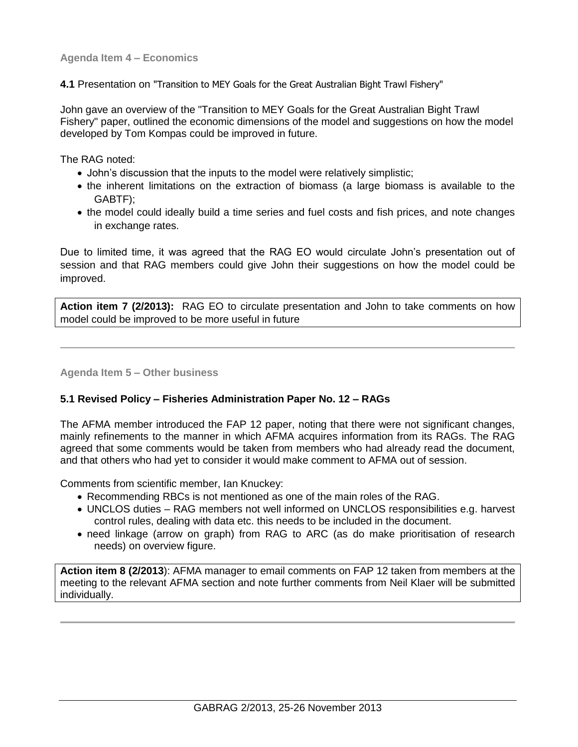**Agenda Item 4 – Economics** 

**4.1** Presentation on "Transition to MEY Goals for the Great Australian Bight Trawl Fishery"

John gave an overview of the "Transition to MEY Goals for the Great Australian Bight Trawl Fishery" paper, outlined the economic dimensions of the model and suggestions on how the model developed by Tom Kompas could be improved in future.

The RAG noted:

- John's discussion that the inputs to the model were relatively simplistic;
- the inherent limitations on the extraction of biomass (a large biomass is available to the GABTF);
- the model could ideally build a time series and fuel costs and fish prices, and note changes in exchange rates.

Due to limited time, it was agreed that the RAG EO would circulate John's presentation out of session and that RAG members could give John their suggestions on how the model could be improved.

**Action item 7 (2/2013):** RAG EO to circulate presentation and John to take comments on how model could be improved to be more useful in future

**Agenda Item 5 – Other business** 

## **5.1 Revised Policy – Fisheries Administration Paper No. 12 – RAGs**

The AFMA member introduced the FAP 12 paper, noting that there were not significant changes, mainly refinements to the manner in which AFMA acquires information from its RAGs. The RAG agreed that some comments would be taken from members who had already read the document, and that others who had yet to consider it would make comment to AFMA out of session.

Comments from scientific member, Ian Knuckey:

- Recommending RBCs is not mentioned as one of the main roles of the RAG.
- UNCLOS duties RAG members not well informed on UNCLOS responsibilities e.g. harvest control rules, dealing with data etc. this needs to be included in the document.
- need linkage (arrow on graph) from RAG to ARC (as do make prioritisation of research needs) on overview figure.

**Action item 8 (2/2013**): AFMA manager to email comments on FAP 12 taken from members at the meeting to the relevant AFMA section and note further comments from Neil Klaer will be submitted individually.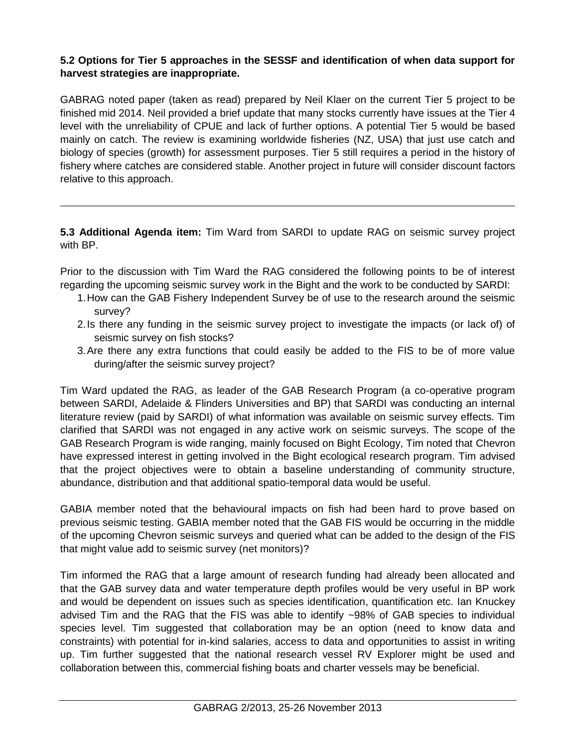# **5.2 Options for Tier 5 approaches in the SESSF and identification of when data support for harvest strategies are inappropriate.**

GABRAG noted paper (taken as read) prepared by Neil Klaer on the current Tier 5 project to be finished mid 2014. Neil provided a brief update that many stocks currently have issues at the Tier 4 level with the unreliability of CPUE and lack of further options. A potential Tier 5 would be based mainly on catch. The review is examining worldwide fisheries (NZ, USA) that just use catch and biology of species (growth) for assessment purposes. Tier 5 still requires a period in the history of fishery where catches are considered stable. Another project in future will consider discount factors relative to this approach.

**5.3 Additional Agenda item:** Tim Ward from SARDI to update RAG on seismic survey project with BP.

Prior to the discussion with Tim Ward the RAG considered the following points to be of interest regarding the upcoming seismic survey work in the Bight and the work to be conducted by SARDI:

- 1.How can the GAB Fishery Independent Survey be of use to the research around the seismic survey?
- 2.Is there any funding in the seismic survey project to investigate the impacts (or lack of) of seismic survey on fish stocks?
- 3.Are there any extra functions that could easily be added to the FIS to be of more value during/after the seismic survey project?

Tim Ward updated the RAG, as leader of the GAB Research Program (a co-operative program between SARDI, Adelaide & Flinders Universities and BP) that SARDI was conducting an internal literature review (paid by SARDI) of what information was available on seismic survey effects. Tim clarified that SARDI was not engaged in any active work on seismic surveys. The scope of the GAB Research Program is wide ranging, mainly focused on Bight Ecology, Tim noted that Chevron have expressed interest in getting involved in the Bight ecological research program. Tim advised that the project objectives were to obtain a baseline understanding of community structure, abundance, distribution and that additional spatio-temporal data would be useful.

GABIA member noted that the behavioural impacts on fish had been hard to prove based on previous seismic testing. GABIA member noted that the GAB FIS would be occurring in the middle of the upcoming Chevron seismic surveys and queried what can be added to the design of the FIS that might value add to seismic survey (net monitors)?

Tim informed the RAG that a large amount of research funding had already been allocated and that the GAB survey data and water temperature depth profiles would be very useful in BP work and would be dependent on issues such as species identification, quantification etc. Ian Knuckey advised Tim and the RAG that the FIS was able to identify ~98% of GAB species to individual species level. Tim suggested that collaboration may be an option (need to know data and constraints) with potential for in-kind salaries, access to data and opportunities to assist in writing up. Tim further suggested that the national research vessel RV Explorer might be used and collaboration between this, commercial fishing boats and charter vessels may be beneficial.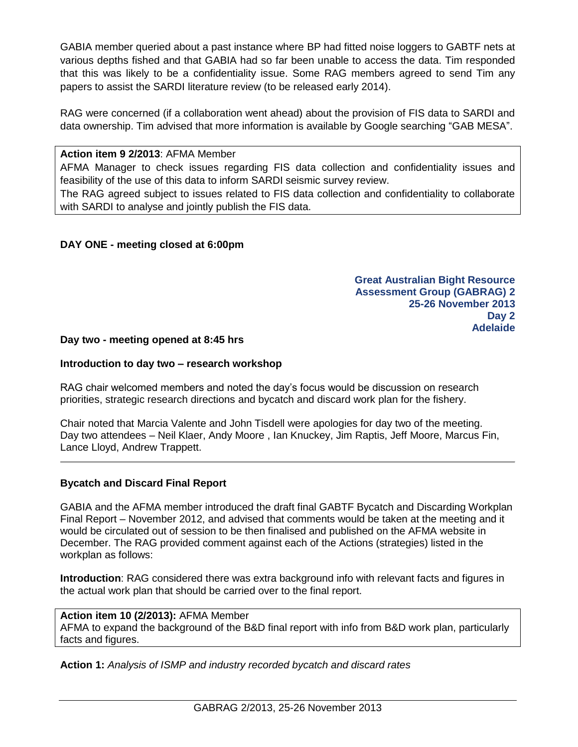GABIA member queried about a past instance where BP had fitted noise loggers to GABTF nets at various depths fished and that GABIA had so far been unable to access the data. Tim responded that this was likely to be a confidentiality issue. Some RAG members agreed to send Tim any papers to assist the SARDI literature review (to be released early 2014).

RAG were concerned (if a collaboration went ahead) about the provision of FIS data to SARDI and data ownership. Tim advised that more information is available by Google searching "GAB MESA".

#### **Action item 9 2/2013**: AFMA Member

AFMA Manager to check issues regarding FIS data collection and confidentiality issues and feasibility of the use of this data to inform SARDI seismic survey review.

The RAG agreed subject to issues related to FIS data collection and confidentiality to collaborate with SARDI to analyse and jointly publish the FIS data.

## **DAY ONE - meeting closed at 6:00pm**

**Great Australian Bight Resource Assessment Group (GABRAG) 2 25-26 November 2013 Day 2 Adelaide**

#### **Day two - meeting opened at 8:45 hrs**

#### **Introduction to day two – research workshop**

RAG chair welcomed members and noted the day's focus would be discussion on research priorities, strategic research directions and bycatch and discard work plan for the fishery.

Chair noted that Marcia Valente and John Tisdell were apologies for day two of the meeting. Day two attendees – Neil Klaer, Andy Moore , Ian Knuckey, Jim Raptis, Jeff Moore, Marcus Fin, Lance Lloyd, Andrew Trappett.

## **Bycatch and Discard Final Report**

GABIA and the AFMA member introduced the draft final GABTF Bycatch and Discarding Workplan Final Report – November 2012, and advised that comments would be taken at the meeting and it would be circulated out of session to be then finalised and published on the AFMA website in December. The RAG provided comment against each of the Actions (strategies) listed in the workplan as follows:

**Introduction**: RAG considered there was extra background info with relevant facts and figures in the actual work plan that should be carried over to the final report.

**Action item 10 (2/2013):** AFMA Member AFMA to expand the background of the B&D final report with info from B&D work plan, particularly facts and figures.

**Action 1:** *Analysis of ISMP and industry recorded bycatch and discard rates*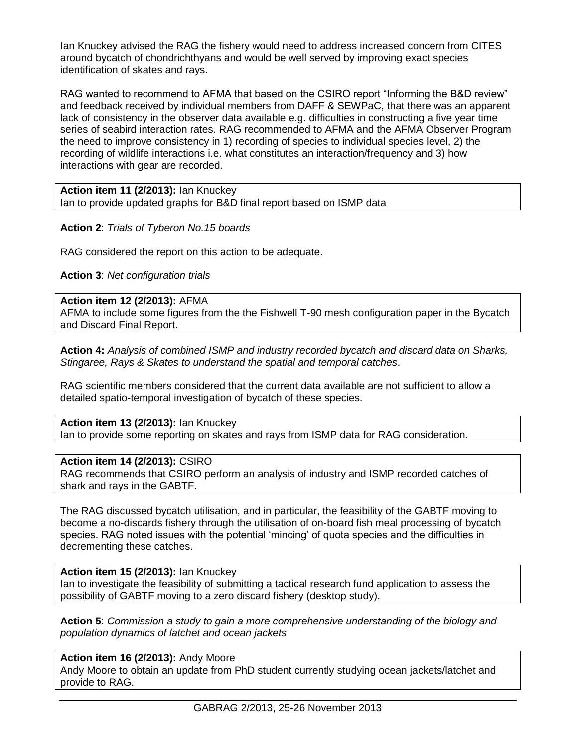Ian Knuckey advised the RAG the fishery would need to address increased concern from CITES around bycatch of chondrichthyans and would be well served by improving exact species identification of skates and rays.

RAG wanted to recommend to AFMA that based on the CSIRO report "Informing the B&D review" and feedback received by individual members from DAFF & SEWPaC, that there was an apparent lack of consistency in the observer data available e.g. difficulties in constructing a five year time series of seabird interaction rates. RAG recommended to AFMA and the AFMA Observer Program the need to improve consistency in 1) recording of species to individual species level, 2) the recording of wildlife interactions i.e. what constitutes an interaction/frequency and 3) how interactions with gear are recorded.

**Action item 11 (2/2013):** Ian Knuckey Ian to provide updated graphs for B&D final report based on ISMP data

**Action 2**: *Trials of Tyberon No.15 boards*

RAG considered the report on this action to be adequate.

**Action 3**: *Net configuration trials*

#### **Action item 12 (2/2013):** AFMA

AFMA to include some figures from the the Fishwell T-90 mesh configuration paper in the Bycatch and Discard Final Report.

**Action 4:** *Analysis of combined ISMP and industry recorded bycatch and discard data on Sharks, Stingaree, Rays & Skates to understand the spatial and temporal catches*.

RAG scientific members considered that the current data available are not sufficient to allow a detailed spatio-temporal investigation of bycatch of these species.

# **Action item 13 (2/2013):** Ian Knuckey

Ian to provide some reporting on skates and rays from ISMP data for RAG consideration.

#### **Action item 14 (2/2013):** CSIRO

RAG recommends that CSIRO perform an analysis of industry and ISMP recorded catches of shark and rays in the GABTF.

The RAG discussed bycatch utilisation, and in particular, the feasibility of the GABTF moving to become a no-discards fishery through the utilisation of on-board fish meal processing of bycatch species. RAG noted issues with the potential 'mincing' of quota species and the difficulties in decrementing these catches.

**Action item 15 (2/2013):** Ian Knuckey

Ian to investigate the feasibility of submitting a tactical research fund application to assess the possibility of GABTF moving to a zero discard fishery (desktop study).

**Action 5**: *Commission a study to gain a more comprehensive understanding of the biology and population dynamics of latchet and ocean jackets*

#### **Action item 16 (2/2013):** Andy Moore

Andy Moore to obtain an update from PhD student currently studying ocean jackets/latchet and provide to RAG.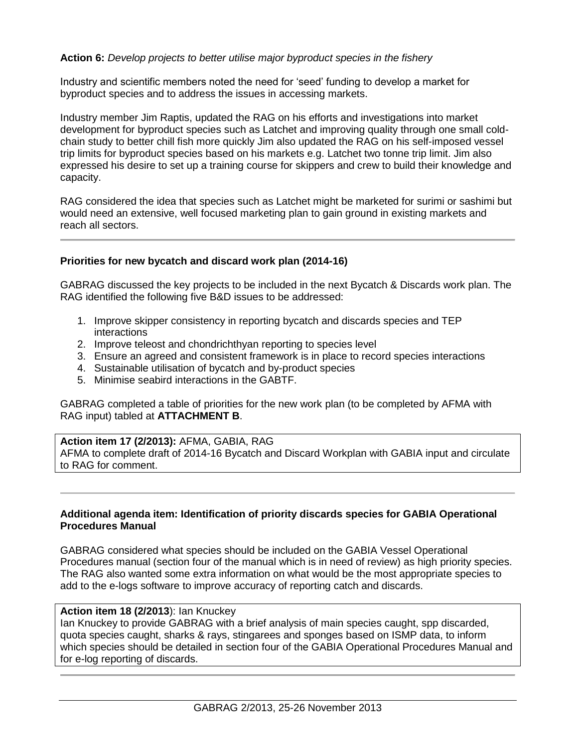## **Action 6:** *Develop projects to better utilise major byproduct species in the fishery*

Industry and scientific members noted the need for 'seed' funding to develop a market for byproduct species and to address the issues in accessing markets.

Industry member Jim Raptis, updated the RAG on his efforts and investigations into market development for byproduct species such as Latchet and improving quality through one small coldchain study to better chill fish more quickly Jim also updated the RAG on his self-imposed vessel trip limits for byproduct species based on his markets e.g. Latchet two tonne trip limit. Jim also expressed his desire to set up a training course for skippers and crew to build their knowledge and capacity.

RAG considered the idea that species such as Latchet might be marketed for surimi or sashimi but would need an extensive, well focused marketing plan to gain ground in existing markets and reach all sectors.

## **Priorities for new bycatch and discard work plan (2014-16)**

GABRAG discussed the key projects to be included in the next Bycatch & Discards work plan. The RAG identified the following five B&D issues to be addressed:

- 1. Improve skipper consistency in reporting bycatch and discards species and TEP interactions
- 2. Improve teleost and chondrichthyan reporting to species level
- 3. Ensure an agreed and consistent framework is in place to record species interactions
- 4. Sustainable utilisation of bycatch and by-product species
- 5. Minimise seabird interactions in the GABTF.

GABRAG completed a table of priorities for the new work plan (to be completed by AFMA with RAG input) tabled at **ATTACHMENT B**.

## **Action item 17 (2/2013):** AFMA, GABIA, RAG

AFMA to complete draft of 2014-16 Bycatch and Discard Workplan with GABIA input and circulate to RAG for comment.

#### **Additional agenda item: Identification of priority discards species for GABIA Operational Procedures Manual**

GABRAG considered what species should be included on the GABIA Vessel Operational Procedures manual (section four of the manual which is in need of review) as high priority species. The RAG also wanted some extra information on what would be the most appropriate species to add to the e-logs software to improve accuracy of reporting catch and discards.

## **Action item 18 (2/2013**): Ian Knuckey

Ian Knuckey to provide GABRAG with a brief analysis of main species caught, spp discarded, quota species caught, sharks & rays, stingarees and sponges based on ISMP data, to inform which species should be detailed in section four of the GABIA Operational Procedures Manual and for e-log reporting of discards.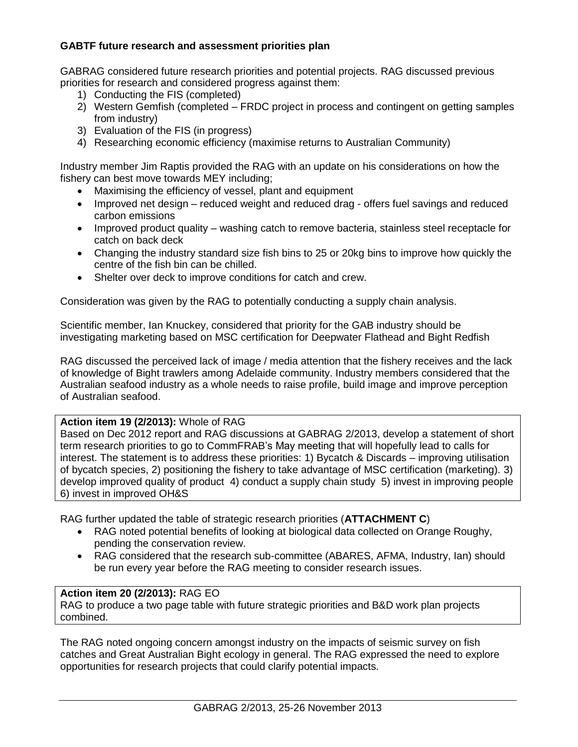## **GABTF future research and assessment priorities plan**

GABRAG considered future research priorities and potential projects. RAG discussed previous priorities for research and considered progress against them:

- 1) Conducting the FIS (completed)
- 2) Western Gemfish (completed FRDC project in process and contingent on getting samples from industry)
- 3) Evaluation of the FIS (in progress)
- 4) Researching economic efficiency (maximise returns to Australian Community)

Industry member Jim Raptis provided the RAG with an update on his considerations on how the fishery can best move towards MEY including;

- Maximising the efficiency of vessel, plant and equipment
- Improved net design reduced weight and reduced drag offers fuel savings and reduced carbon emissions
- Improved product quality washing catch to remove bacteria, stainless steel receptacle for catch on back deck
- Changing the industry standard size fish bins to 25 or 20kg bins to improve how quickly the centre of the fish bin can be chilled.
- Shelter over deck to improve conditions for catch and crew.

Consideration was given by the RAG to potentially conducting a supply chain analysis.

Scientific member, Ian Knuckey, considered that priority for the GAB industry should be investigating marketing based on MSC certification for Deepwater Flathead and Bight Redfish

RAG discussed the perceived lack of image / media attention that the fishery receives and the lack of knowledge of Bight trawlers among Adelaide community. Industry members considered that the Australian seafood industry as a whole needs to raise profile, build image and improve perception of Australian seafood.

## **Action item 19 (2/2013):** Whole of RAG

Based on Dec 2012 report and RAG discussions at GABRAG 2/2013, develop a statement of short term research priorities to go to CommFRAB's May meeting that will hopefully lead to calls for interest. The statement is to address these priorities: 1) Bycatch & Discards – improving utilisation of bycatch species, 2) positioning the fishery to take advantage of MSC certification (marketing). 3) develop improved quality of product 4) conduct a supply chain study 5) invest in improving people 6) invest in improved OH&S

RAG further updated the table of strategic research priorities (**ATTACHMENT C**)

- RAG noted potential benefits of looking at biological data collected on Orange Roughy, pending the conservation review.
- RAG considered that the research sub-committee (ABARES, AFMA, Industry, Ian) should be run every year before the RAG meeting to consider research issues.

## **Action item 20 (2/2013):** RAG EO

RAG to produce a two page table with future strategic priorities and B&D work plan projects combined.

The RAG noted ongoing concern amongst industry on the impacts of seismic survey on fish catches and Great Australian Bight ecology in general. The RAG expressed the need to explore opportunities for research projects that could clarify potential impacts.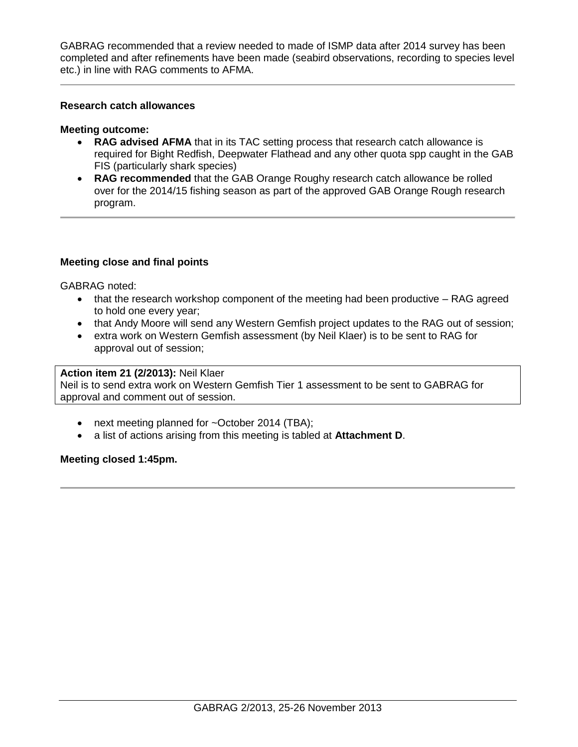GABRAG recommended that a review needed to made of ISMP data after 2014 survey has been completed and after refinements have been made (seabird observations, recording to species level etc.) in line with RAG comments to AFMA.

## **Research catch allowances**

#### **Meeting outcome:**

- **RAG advised AFMA** that in its TAC setting process that research catch allowance is required for Bight Redfish, Deepwater Flathead and any other quota spp caught in the GAB FIS (particularly shark species)
- **RAG recommended** that the GAB Orange Roughy research catch allowance be rolled over for the 2014/15 fishing season as part of the approved GAB Orange Rough research program.

## **Meeting close and final points**

GABRAG noted:

- that the research workshop component of the meeting had been productive RAG agreed to hold one every year;
- that Andy Moore will send any Western Gemfish project updates to the RAG out of session;
- extra work on Western Gemfish assessment (by Neil Klaer) is to be sent to RAG for approval out of session;

# **Action item 21 (2/2013):** Neil Klaer

Neil is to send extra work on Western Gemfish Tier 1 assessment to be sent to GABRAG for approval and comment out of session.

- next meeting planned for ~October 2014 (TBA);
- a list of actions arising from this meeting is tabled at **Attachment D**.

## **Meeting closed 1:45pm.**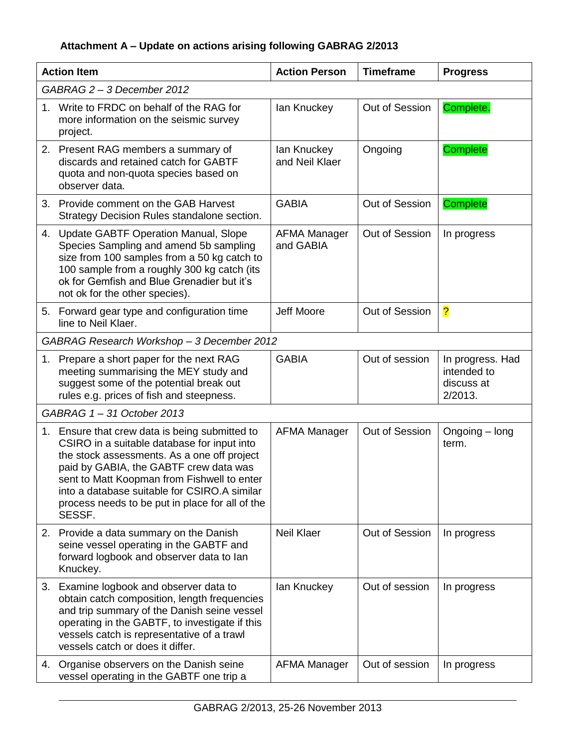# **Attachment A – Update on actions arising following GABRAG 2/2013**

| <b>Action Item</b> |                                                                                                                                                                                                                                                                                                                                                    | <b>Action Person</b>             | <b>Timeframe</b> | <b>Progress</b>                                          |
|--------------------|----------------------------------------------------------------------------------------------------------------------------------------------------------------------------------------------------------------------------------------------------------------------------------------------------------------------------------------------------|----------------------------------|------------------|----------------------------------------------------------|
|                    | GABRAG 2 - 3 December 2012                                                                                                                                                                                                                                                                                                                         |                                  |                  |                                                          |
| 1.                 | Write to FRDC on behalf of the RAG for<br>more information on the seismic survey<br>project.                                                                                                                                                                                                                                                       | lan Knuckey                      | Out of Session   | Complete.                                                |
|                    | 2. Present RAG members a summary of<br>discards and retained catch for GABTF<br>quota and non-quota species based on<br>observer data.                                                                                                                                                                                                             | lan Knuckey<br>and Neil Klaer    | Ongoing          | <b>Complete</b>                                          |
|                    | 3. Provide comment on the GAB Harvest<br>Strategy Decision Rules standalone section.                                                                                                                                                                                                                                                               | <b>GABIA</b>                     | Out of Session   | Complete                                                 |
|                    | 4. Update GABTF Operation Manual, Slope<br>Species Sampling and amend 5b sampling<br>size from 100 samples from a 50 kg catch to<br>100 sample from a roughly 300 kg catch (its<br>ok for Gemfish and Blue Grenadier but it's<br>not ok for the other species).                                                                                    | <b>AFMA Manager</b><br>and GABIA | Out of Session   | In progress                                              |
|                    | 5. Forward gear type and configuration time<br>line to Neil Klaer.                                                                                                                                                                                                                                                                                 | Jeff Moore                       | Out of Session   | $\overline{\mathbf{?}}$                                  |
|                    | GABRAG Research Workshop - 3 December 2012                                                                                                                                                                                                                                                                                                         |                                  |                  |                                                          |
|                    | 1. Prepare a short paper for the next RAG<br>meeting summarising the MEY study and<br>suggest some of the potential break out<br>rules e.g. prices of fish and steepness.                                                                                                                                                                          | <b>GABIA</b>                     | Out of session   | In progress. Had<br>intended to<br>discuss at<br>2/2013. |
|                    | GABRAG 1-31 October 2013                                                                                                                                                                                                                                                                                                                           |                                  |                  |                                                          |
|                    | 1. Ensure that crew data is being submitted to<br>CSIRO in a suitable database for input into<br>the stock assessments. As a one off project<br>paid by GABIA, the GABTF crew data was<br>sent to Matt Koopman from Fishwell to enter<br>into a database suitable for CSIRO.A similar<br>process needs to be put in place for all of the<br>SESSF. | <b>AFMA Manager</b>              | Out of Session   | Ongoing – long<br>term.                                  |
|                    | 2. Provide a data summary on the Danish<br>seine vessel operating in the GABTF and<br>forward logbook and observer data to lan<br>Knuckey.                                                                                                                                                                                                         | <b>Neil Klaer</b>                | Out of Session   | In progress                                              |
|                    | 3. Examine logbook and observer data to<br>obtain catch composition, length frequencies<br>and trip summary of the Danish seine vessel<br>operating in the GABTF, to investigate if this<br>vessels catch is representative of a trawl<br>vessels catch or does it differ.                                                                         | lan Knuckey                      | Out of session   | In progress                                              |
|                    | 4. Organise observers on the Danish seine<br>vessel operating in the GABTF one trip a                                                                                                                                                                                                                                                              | <b>AFMA Manager</b>              | Out of session   | In progress                                              |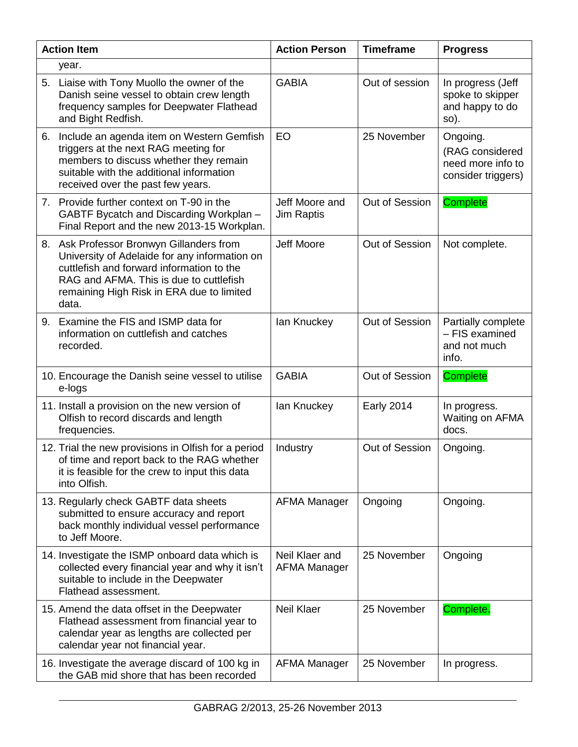|    | <b>Action Item</b>                                                                                                                                                                                                                      | <b>Action Person</b>                  | <b>Timeframe</b>  | <b>Progress</b>                                                        |
|----|-----------------------------------------------------------------------------------------------------------------------------------------------------------------------------------------------------------------------------------------|---------------------------------------|-------------------|------------------------------------------------------------------------|
|    | year.                                                                                                                                                                                                                                   |                                       |                   |                                                                        |
|    | 5. Liaise with Tony Muollo the owner of the<br>Danish seine vessel to obtain crew length<br>frequency samples for Deepwater Flathead<br>and Bight Redfish.                                                                              | <b>GABIA</b>                          | Out of session    | In progress (Jeff<br>spoke to skipper<br>and happy to do<br>so).       |
| 6. | Include an agenda item on Western Gemfish<br>triggers at the next RAG meeting for<br>members to discuss whether they remain<br>suitable with the additional information<br>received over the past few years.                            | EO                                    | 25 November       | Ongoing.<br>(RAG considered<br>need more info to<br>consider triggers) |
|    | 7. Provide further context on T-90 in the<br>GABTF Bycatch and Discarding Workplan -<br>Final Report and the new 2013-15 Workplan.                                                                                                      | Jeff Moore and<br><b>Jim Raptis</b>   | Out of Session    | <b>Complete</b>                                                        |
|    | 8. Ask Professor Bronwyn Gillanders from<br>University of Adelaide for any information on<br>cuttlefish and forward information to the<br>RAG and AFMA. This is due to cuttlefish<br>remaining High Risk in ERA due to limited<br>data. | Jeff Moore                            | Out of Session    | Not complete.                                                          |
|    | 9. Examine the FIS and ISMP data for<br>information on cuttlefish and catches<br>recorded.                                                                                                                                              | lan Knuckey                           | Out of Session    | Partially complete<br>- FIS examined<br>and not much<br>info.          |
|    | 10. Encourage the Danish seine vessel to utilise<br>e-logs                                                                                                                                                                              | <b>GABIA</b>                          | Out of Session    | <b>Complete</b>                                                        |
|    | 11. Install a provision on the new version of<br>Olfish to record discards and length<br>frequencies.                                                                                                                                   | lan Knuckey                           | <b>Early 2014</b> | In progress.<br>Waiting on AFMA<br>docs.                               |
|    | 12. Trial the new provisions in Olfish for a period<br>of time and report back to the RAG whether<br>it is feasible for the crew to input this data<br>into Olfish.                                                                     | Industry                              | Out of Session    | Ongoing.                                                               |
|    | 13. Regularly check GABTF data sheets<br>submitted to ensure accuracy and report<br>back monthly individual vessel performance<br>to Jeff Moore.                                                                                        | <b>AFMA Manager</b>                   | Ongoing           | Ongoing.                                                               |
|    | 14. Investigate the ISMP onboard data which is<br>collected every financial year and why it isn't<br>suitable to include in the Deepwater<br>Flathead assessment.                                                                       | Neil Klaer and<br><b>AFMA Manager</b> | 25 November       | Ongoing                                                                |
|    | 15. Amend the data offset in the Deepwater<br>Flathead assessment from financial year to<br>calendar year as lengths are collected per<br>calendar year not financial year.                                                             | <b>Neil Klaer</b>                     | 25 November       | Complete.                                                              |
|    | 16. Investigate the average discard of 100 kg in<br>the GAB mid shore that has been recorded                                                                                                                                            | <b>AFMA Manager</b>                   | 25 November       | In progress.                                                           |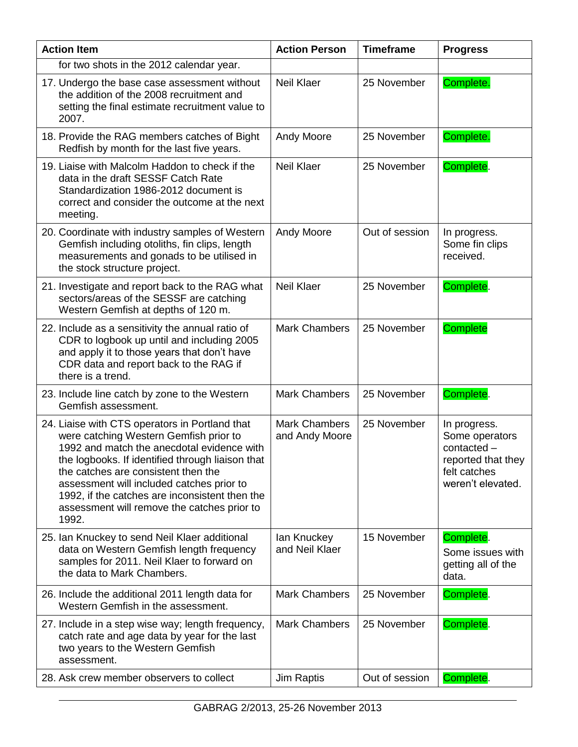| <b>Action Item</b>                                                                                                                                                                                                                                                                                                                                                                       | <b>Action Person</b>                   | <b>Timeframe</b> | <b>Progress</b>                                                                                          |
|------------------------------------------------------------------------------------------------------------------------------------------------------------------------------------------------------------------------------------------------------------------------------------------------------------------------------------------------------------------------------------------|----------------------------------------|------------------|----------------------------------------------------------------------------------------------------------|
| for two shots in the 2012 calendar year.                                                                                                                                                                                                                                                                                                                                                 |                                        |                  |                                                                                                          |
| 17. Undergo the base case assessment without<br>the addition of the 2008 recruitment and<br>setting the final estimate recruitment value to<br>2007.                                                                                                                                                                                                                                     | <b>Neil Klaer</b>                      | 25 November      | Complete.                                                                                                |
| 18. Provide the RAG members catches of Bight<br>Redfish by month for the last five years.                                                                                                                                                                                                                                                                                                | <b>Andy Moore</b>                      | 25 November      | Complete.                                                                                                |
| 19. Liaise with Malcolm Haddon to check if the<br>data in the draft SESSF Catch Rate<br>Standardization 1986-2012 document is<br>correct and consider the outcome at the next<br>meeting.                                                                                                                                                                                                | <b>Neil Klaer</b>                      | 25 November      | Complete.                                                                                                |
| 20. Coordinate with industry samples of Western<br>Gemfish including otoliths, fin clips, length<br>measurements and gonads to be utilised in<br>the stock structure project.                                                                                                                                                                                                            | <b>Andy Moore</b>                      | Out of session   | In progress.<br>Some fin clips<br>received.                                                              |
| 21. Investigate and report back to the RAG what<br>sectors/areas of the SESSF are catching<br>Western Gemfish at depths of 120 m.                                                                                                                                                                                                                                                        | <b>Neil Klaer</b>                      | 25 November      | Complete.                                                                                                |
| 22. Include as a sensitivity the annual ratio of<br>CDR to logbook up until and including 2005<br>and apply it to those years that don't have<br>CDR data and report back to the RAG if<br>there is a trend.                                                                                                                                                                             | <b>Mark Chambers</b>                   | 25 November      | <b>Complete</b>                                                                                          |
| 23. Include line catch by zone to the Western<br>Gemfish assessment.                                                                                                                                                                                                                                                                                                                     | <b>Mark Chambers</b>                   | 25 November      | Complete.                                                                                                |
| 24. Liaise with CTS operators in Portland that<br>were catching Western Gemfish prior to<br>1992 and match the anecdotal evidence with<br>the logbooks. If identified through liaison that<br>the catches are consistent then the<br>assessment will included catches prior to<br>1992, if the catches are inconsistent then the<br>assessment will remove the catches prior to<br>1992. | <b>Mark Chambers</b><br>and Andy Moore | 25 November      | In progress.<br>Some operators<br>contacted -<br>reported that they<br>felt catches<br>weren't elevated. |
| 25. Ian Knuckey to send Neil Klaer additional<br>data on Western Gemfish length frequency<br>samples for 2011. Neil Klaer to forward on<br>the data to Mark Chambers.                                                                                                                                                                                                                    | lan Knuckey<br>and Neil Klaer          | 15 November      | Complete.<br>Some issues with<br>getting all of the<br>data.                                             |
| 26. Include the additional 2011 length data for<br>Western Gemfish in the assessment.                                                                                                                                                                                                                                                                                                    | <b>Mark Chambers</b>                   | 25 November      | Complete.                                                                                                |
| 27. Include in a step wise way; length frequency,<br>catch rate and age data by year for the last<br>two years to the Western Gemfish<br>assessment.                                                                                                                                                                                                                                     | <b>Mark Chambers</b>                   | 25 November      | Complete.                                                                                                |
| 28. Ask crew member observers to collect                                                                                                                                                                                                                                                                                                                                                 | Jim Raptis                             | Out of session   | Complete.                                                                                                |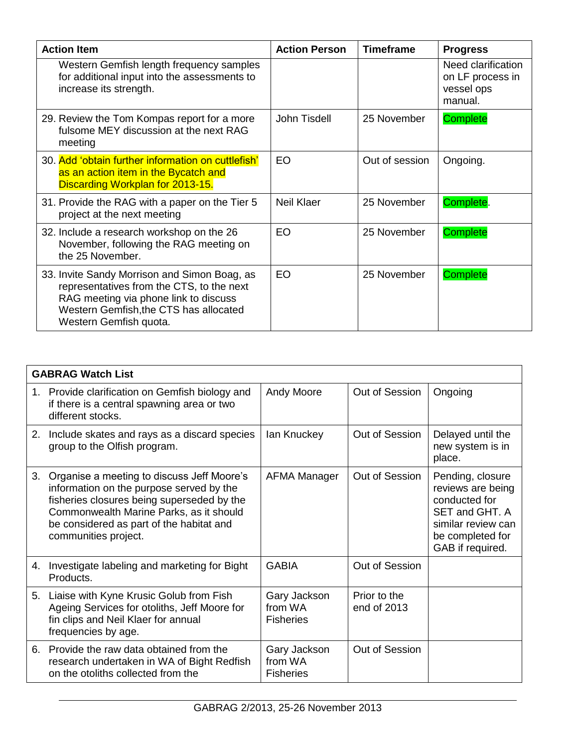| <b>Action Item</b>                                                                                                                                                                                     | <b>Action Person</b> | <b>Timeframe</b> | <b>Progress</b>                                                 |
|--------------------------------------------------------------------------------------------------------------------------------------------------------------------------------------------------------|----------------------|------------------|-----------------------------------------------------------------|
| Western Gemfish length frequency samples<br>for additional input into the assessments to<br>increase its strength.                                                                                     |                      |                  | Need clarification<br>on LF process in<br>vessel ops<br>manual. |
| 29. Review the Tom Kompas report for a more<br>fulsome MEY discussion at the next RAG<br>meeting                                                                                                       | John Tisdell         | 25 November      | <b>Complete</b>                                                 |
| 30. Add 'obtain further information on cuttlefish'<br>as an action item in the Bycatch and<br>Discarding Workplan for 2013-15.                                                                         | <b>EO</b>            | Out of session   | Ongoing.                                                        |
| 31. Provide the RAG with a paper on the Tier 5<br>project at the next meeting                                                                                                                          | <b>Neil Klaer</b>    | 25 November      | Complete.                                                       |
| 32. Include a research workshop on the 26<br>November, following the RAG meeting on<br>the 25 November.                                                                                                | <b>EO</b>            | 25 November      | <b>Complete</b>                                                 |
| 33. Invite Sandy Morrison and Simon Boag, as<br>representatives from the CTS, to the next<br>RAG meeting via phone link to discuss<br>Western Gemfish, the CTS has allocated<br>Western Gemfish quota. | <b>EO</b>            | 25 November      | <b>Complete</b>                                                 |

|    | <b>GABRAG Watch List</b>                                                                                                                                                                                                                            |                                             |                             |                                                                                                                                        |  |  |  |  |
|----|-----------------------------------------------------------------------------------------------------------------------------------------------------------------------------------------------------------------------------------------------------|---------------------------------------------|-----------------------------|----------------------------------------------------------------------------------------------------------------------------------------|--|--|--|--|
|    | 1. Provide clarification on Gemfish biology and<br>if there is a central spawning area or two<br>different stocks.                                                                                                                                  | Andy Moore                                  | Out of Session              | Ongoing                                                                                                                                |  |  |  |  |
|    | 2. Include skates and rays as a discard species<br>group to the Olfish program.                                                                                                                                                                     | lan Knuckey                                 | Out of Session              | Delayed until the<br>new system is in<br>place.                                                                                        |  |  |  |  |
| 3. | Organise a meeting to discuss Jeff Moore's<br>information on the purpose served by the<br>fisheries closures being superseded by the<br>Commonwealth Marine Parks, as it should<br>be considered as part of the habitat and<br>communities project. | AFMA Manager                                | Out of Session              | Pending, closure<br>reviews are being<br>conducted for<br>SET and GHT, A<br>similar review can<br>be completed for<br>GAB if required. |  |  |  |  |
| 4. | Investigate labeling and marketing for Bight<br>Products.                                                                                                                                                                                           | <b>GABIA</b>                                | Out of Session              |                                                                                                                                        |  |  |  |  |
| 5. | Liaise with Kyne Krusic Golub from Fish<br>Ageing Services for otoliths, Jeff Moore for<br>fin clips and Neil Klaer for annual<br>frequencies by age.                                                                                               | Gary Jackson<br>from WA<br><b>Fisheries</b> | Prior to the<br>end of 2013 |                                                                                                                                        |  |  |  |  |
| 6. | Provide the raw data obtained from the<br>research undertaken in WA of Bight Redfish<br>on the otoliths collected from the                                                                                                                          | Gary Jackson<br>from WA<br><b>Fisheries</b> | Out of Session              |                                                                                                                                        |  |  |  |  |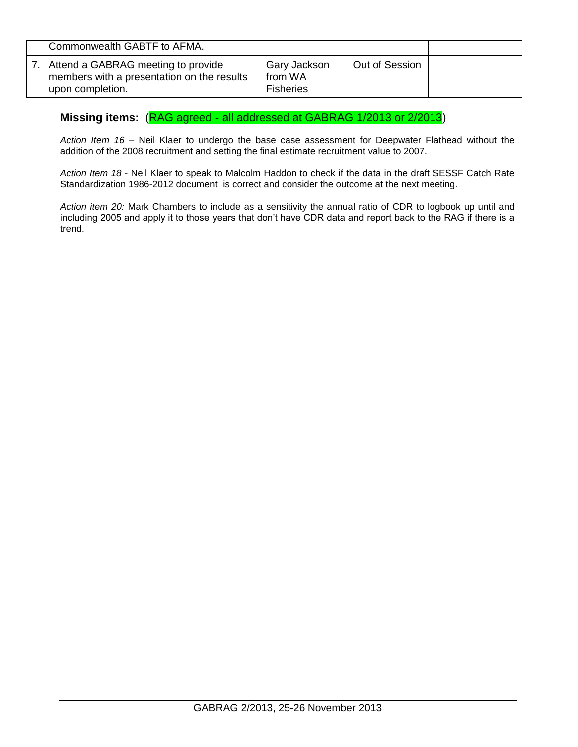| Commonwealth GABTF to AFMA.                                                                          |                                             |                |  |
|------------------------------------------------------------------------------------------------------|---------------------------------------------|----------------|--|
| Attend a GABRAG meeting to provide<br>members with a presentation on the results<br>upon completion. | Gary Jackson<br>from WA<br><b>Fisheries</b> | Out of Session |  |

## **Missing items:** (RAG agreed - all addressed at GABRAG 1/2013 or 2/2013)

*Action Item 16* – Neil Klaer to undergo the base case assessment for Deepwater Flathead without the addition of the 2008 recruitment and setting the final estimate recruitment value to 2007.

*Action Item 18* - Neil Klaer to speak to Malcolm Haddon to check if the data in the draft SESSF Catch Rate Standardization 1986-2012 document is correct and consider the outcome at the next meeting.

*Action item 20:* Mark Chambers to include as a sensitivity the annual ratio of CDR to logbook up until and including 2005 and apply it to those years that don't have CDR data and report back to the RAG if there is a trend.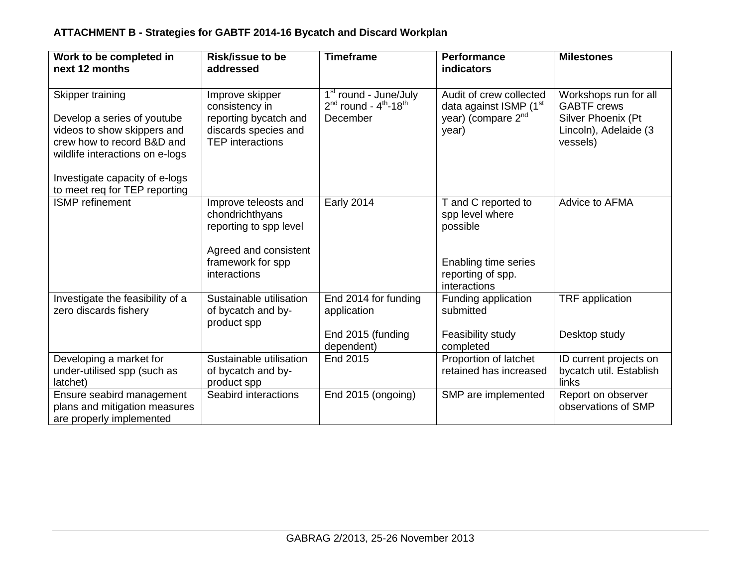# **ATTACHMENT B - Strategies for GABTF 2014-16 Bycatch and Discard Workplan**

| Work to be completed in<br>next 12 months                                                                                                                                         | <b>Risk/issue to be</b><br>addressed                                                                                            | <b>Timeframe</b>                                                                       | <b>Performance</b><br>indicators                                                                                | <b>Milestones</b>                                                                                      |
|-----------------------------------------------------------------------------------------------------------------------------------------------------------------------------------|---------------------------------------------------------------------------------------------------------------------------------|----------------------------------------------------------------------------------------|-----------------------------------------------------------------------------------------------------------------|--------------------------------------------------------------------------------------------------------|
| Skipper training<br>Develop a series of youtube<br>videos to show skippers and<br>crew how to record B&D and<br>wildlife interactions on e-logs<br>Investigate capacity of e-logs | Improve skipper<br>consistency in<br>reporting bycatch and<br>discards species and<br><b>TEP</b> interactions                   | 1 <sup>st</sup> round - June/July<br>$2nd$ round - $4th$ -18 <sup>th</sup><br>December | Audit of crew collected<br>data against ISMP (1 <sup>st</sup><br>year) (compare 2 <sup>nd</sup><br>year)        | Workshops run for all<br><b>GABTF</b> crews<br>Silver Phoenix (Pt<br>Lincoln), Adelaide (3<br>vessels) |
| to meet req for TEP reporting<br><b>ISMP</b> refinement                                                                                                                           | Improve teleosts and<br>chondrichthyans<br>reporting to spp level<br>Agreed and consistent<br>framework for spp<br>interactions | <b>Early 2014</b>                                                                      | T and C reported to<br>spp level where<br>possible<br>Enabling time series<br>reporting of spp.<br>interactions | Advice to AFMA                                                                                         |
| Investigate the feasibility of a<br>zero discards fishery                                                                                                                         | Sustainable utilisation<br>of bycatch and by-<br>product spp                                                                    | End 2014 for funding<br>application<br>End 2015 (funding<br>dependent)                 | Funding application<br>submitted<br>Feasibility study<br>completed                                              | TRF application<br>Desktop study                                                                       |
| Developing a market for<br>under-utilised spp (such as<br>latchet)                                                                                                                | Sustainable utilisation<br>of bycatch and by-<br>product spp                                                                    | End 2015                                                                               | Proportion of latchet<br>retained has increased                                                                 | ID current projects on<br>bycatch util. Establish<br>links                                             |
| Ensure seabird management<br>plans and mitigation measures<br>are properly implemented                                                                                            | Seabird interactions                                                                                                            | End 2015 (ongoing)                                                                     | SMP are implemented                                                                                             | Report on observer<br>observations of SMP                                                              |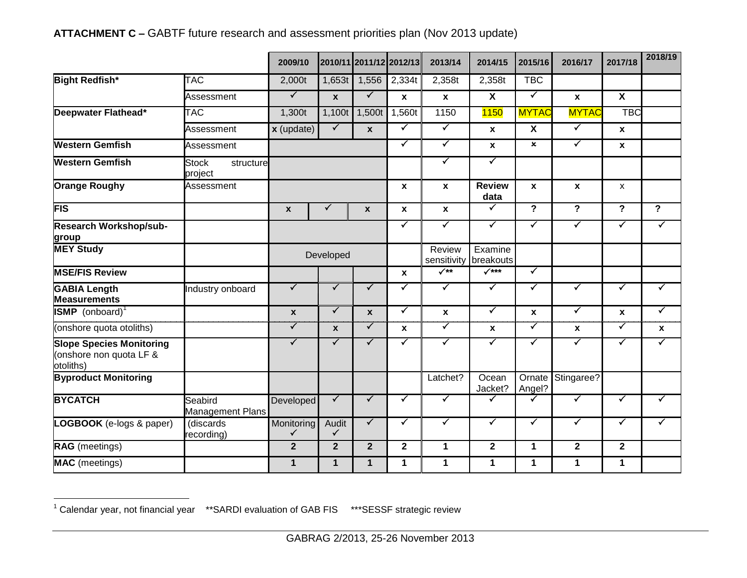|                                                                         |                                      | 2009/10              |                         |                  | 2010/11 2011/12 2012/13 | 2013/14               | 2014/15               | 2015/16                 | 2016/17              | 2017/18                 | 2018/19              |
|-------------------------------------------------------------------------|--------------------------------------|----------------------|-------------------------|------------------|-------------------------|-----------------------|-----------------------|-------------------------|----------------------|-------------------------|----------------------|
| <b>Bight Redfish*</b>                                                   | <b>TAC</b>                           | 2,000t               | 1,653t                  | 1,556            | 2,334t                  | 2,358t                | 2,358t                | <b>TBC</b>              |                      |                         |                      |
|                                                                         | Assessment                           | $\blacktriangledown$ | $\mathbf{x}$            | $\checkmark$     | $\mathbf{x}$            | $\mathbf{x}$          | $\mathsf{X}$          | $\blacktriangledown$    | $\mathbf{x}$         | $\overline{\mathbf{X}}$ |                      |
| Deepwater Flathead*                                                     | <b>TAC</b>                           | 1,300t               | 1,100t                  | 1,500t           | 1,560t                  | 1150                  | <b>1150</b>           | <b>MYTAC</b>            | <b>MYTAC</b>         | <b>TBC</b>              |                      |
|                                                                         | Assessment                           | $x$ (update)         | $\checkmark$            | $\boldsymbol{x}$ | $\checkmark$            | $\blacktriangledown$  | $\mathbf{x}$          | $\overline{\mathbf{x}}$ | $\blacktriangledown$ | $\mathbf{x}$            |                      |
| Western Gemfish                                                         | Assessment                           |                      |                         |                  | $\checkmark$            | $\checkmark$          | $\pmb{\mathsf{x}}$    | $\pmb{\times}$          | $\checkmark$         | $\pmb{\chi}$            |                      |
| <b>Western Gemfish</b>                                                  | <b>Stock</b><br>structure<br>project |                      |                         |                  |                         | $\checkmark$          | $\blacktriangledown$  |                         |                      |                         |                      |
| <b>Orange Roughy</b>                                                    | Assessment                           |                      |                         |                  | $\mathbf{x}$            | $\mathbf{x}$          | <b>Review</b><br>data | $\mathbf{x}$            | $\mathbf{x}$         | $\mathsf{x}$            |                      |
| <b>FIS</b>                                                              |                                      | $\mathbf{x}$         | ✔                       | $\boldsymbol{x}$ | $\mathbf{x}$            | $\mathbf{x}$          | $\blacktriangledown$  | $\overline{\mathbf{P}}$ | $\overline{?}$       | $\overline{?}$          | $\overline{?}$       |
| <b>Research Workshop/sub-</b><br>group                                  |                                      |                      |                         |                  | $\checkmark$            | $\blacktriangledown$  | $\checkmark$          | $\blacktriangledown$    | $\checkmark$         | $\blacktriangledown$    | $\blacktriangledown$ |
| <b>MEY Study</b>                                                        |                                      |                      | Developed               |                  |                         | Review<br>sensitivity | Examine<br>breakouts  |                         |                      |                         |                      |
| <b>MSE/FIS Review</b>                                                   |                                      |                      |                         |                  | $\mathbf{x}$            | $\sqrt{**}$           | $\sqrt{***}$          | $\blacktriangledown$    |                      |                         |                      |
| <b>GABIA Length</b><br><b>Measurements</b>                              | Industry onboard                     | $\checkmark$         | $\checkmark$            | $\checkmark$     | $\checkmark$            | ✓                     | $\blacktriangledown$  | ✓                       | ✓                    | $\checkmark$            | $\checkmark$         |
| <b>ISMP</b> (onboard) <sup>1</sup>                                      |                                      | $\mathbf{x}$         | $\checkmark$            | $\boldsymbol{x}$ | $\checkmark$            | $\mathbf x$           | $\blacktriangledown$  | X                       | $\checkmark$         | X                       | $\blacktriangledown$ |
| (onshore quota otoliths)                                                |                                      | $\checkmark$         | $\mathbf{x}$            | $\checkmark$     | $\boldsymbol{x}$        | $\checkmark$          | $\pmb{\mathsf{x}}$    | $\blacktriangledown$    | $\mathbf{x}$         | $\checkmark$            | $\mathbf{x}$         |
| <b>Slope Species Monitoring</b><br>(onshore non quota LF &<br>otoliths) |                                      | $\checkmark$         | ✓                       | $\checkmark$     | ✓                       | $\checkmark$          | $\blacktriangledown$  | $\blacktriangledown$    | $\blacktriangledown$ | $\blacktriangledown$    | $\blacktriangledown$ |
| <b>Byproduct Monitoring</b>                                             |                                      |                      |                         |                  |                         | Latchet?              | Ocean<br>Jacket?      | Ornate<br>Angel?        | Stingaree?           |                         |                      |
| <b>BYCATCH</b>                                                          | Seabird<br><b>Management Plans</b>   | <b>Developed</b>     | $\overline{\checkmark}$ | $\checkmark$     | $\checkmark$            | $\checkmark$          | $\checkmark$          | ✓                       | $\blacktriangledown$ | $\checkmark$            | $\checkmark$         |
| LOGBOOK (e-logs & paper)                                                | (discards<br>recording)              | Monitoring<br>✓      | Audit<br>$\checkmark$   | $\checkmark$     | $\checkmark$            | $\checkmark$          | $\checkmark$          | $\blacktriangledown$    | $\checkmark$         | $\checkmark$            | $\checkmark$         |
| <b>RAG</b> (meetings)                                                   |                                      | $\overline{2}$       | $\overline{2}$          | $\overline{2}$   | $\mathbf{2}$            | 1                     | $\overline{2}$        | $\mathbf 1$             | $\mathbf 2$          | $\mathbf 2$             |                      |
| <b>MAC</b> (meetings)                                                   |                                      | $\mathbf 1$          | $\mathbf{1}$            | $\mathbf{1}$     | 1                       | 1                     | 1                     | $\mathbf{1}$            | 1                    | 1                       |                      |

# **ATTACHMENT C –** GABTF future research and assessment priorities plan (Nov 2013 update)

 $\overline{a}$  $1$  Calendar year, not financial year  $*$ \*SARDI evaluation of GAB FIS  $*$ \*\*SESSF strategic review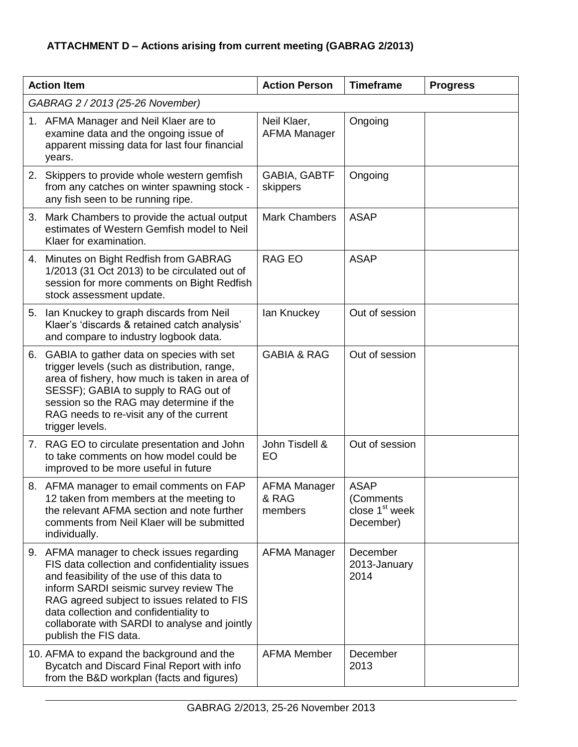# **ATTACHMENT D – Actions arising from current meeting (GABRAG 2/2013)**

|    | <b>Action Item</b>                                                                                                                                                                                                                                                                                                                                     | <b>Action Person</b>                    | <b>Timeframe</b>                                                    | <b>Progress</b> |
|----|--------------------------------------------------------------------------------------------------------------------------------------------------------------------------------------------------------------------------------------------------------------------------------------------------------------------------------------------------------|-----------------------------------------|---------------------------------------------------------------------|-----------------|
|    | GABRAG 2 / 2013 (25-26 November)                                                                                                                                                                                                                                                                                                                       |                                         |                                                                     |                 |
|    | 1. AFMA Manager and Neil Klaer are to<br>examine data and the ongoing issue of<br>apparent missing data for last four financial<br>years.                                                                                                                                                                                                              | Neil Klaer,<br><b>AFMA Manager</b>      | Ongoing                                                             |                 |
|    | 2. Skippers to provide whole western gemfish<br>from any catches on winter spawning stock -<br>any fish seen to be running ripe.                                                                                                                                                                                                                       | GABIA, GABTF<br>skippers                | Ongoing                                                             |                 |
| 3. | Mark Chambers to provide the actual output<br>estimates of Western Gemfish model to Neil<br>Klaer for examination.                                                                                                                                                                                                                                     | <b>Mark Chambers</b>                    | <b>ASAP</b>                                                         |                 |
| 4. | Minutes on Bight Redfish from GABRAG<br>1/2013 (31 Oct 2013) to be circulated out of<br>session for more comments on Bight Redfish<br>stock assessment update.                                                                                                                                                                                         | <b>RAG EO</b>                           | <b>ASAP</b>                                                         |                 |
| 5. | Ian Knuckey to graph discards from Neil<br>Klaer's 'discards & retained catch analysis'<br>and compare to industry logbook data.                                                                                                                                                                                                                       | lan Knuckey                             | Out of session                                                      |                 |
|    | 6. GABIA to gather data on species with set<br>trigger levels (such as distribution, range,<br>area of fishery, how much is taken in area of<br>SESSF); GABIA to supply to RAG out of<br>session so the RAG may determine if the<br>RAG needs to re-visit any of the current<br>trigger levels.                                                        | <b>GABIA &amp; RAG</b>                  | Out of session                                                      |                 |
|    | 7. RAG EO to circulate presentation and John<br>to take comments on how model could be<br>improved to be more useful in future                                                                                                                                                                                                                         | John Tisdell &<br>EO                    | Out of session                                                      |                 |
|    | 8. AFMA manager to email comments on FAP<br>12 taken from members at the meeting to<br>the relevant AFMA section and note further<br>comments from Neil Klaer will be submitted<br>individually.                                                                                                                                                       | <b>AFMA Manager</b><br>& RAG<br>members | <b>ASAP</b><br>(Comments<br>close 1 <sup>st</sup> week<br>December) |                 |
|    | 9. AFMA manager to check issues regarding<br>FIS data collection and confidentiality issues<br>and feasibility of the use of this data to<br>inform SARDI seismic survey review The<br>RAG agreed subject to issues related to FIS<br>data collection and confidentiality to<br>collaborate with SARDI to analyse and jointly<br>publish the FIS data. | <b>AFMA Manager</b>                     | December<br>2013-January<br>2014                                    |                 |
|    | 10. AFMA to expand the background and the<br>Bycatch and Discard Final Report with info<br>from the B&D workplan (facts and figures)                                                                                                                                                                                                                   | <b>AFMA Member</b>                      | December<br>2013                                                    |                 |